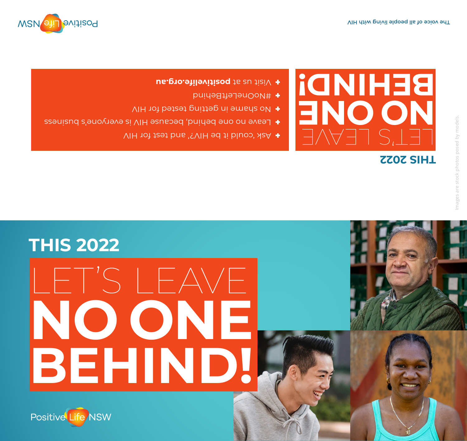

## LET'S LEAVE **NO ONE BEHIND!**

## **THIS 2022**

Positive Life NSW

## LEVAET I **NO ONE BEHIND! THIS 2022**

- **+** Ask 'could it be HIV?' and test for HIV
- **E** Leave no one behind, because HIV is everyone's business
- No shame in getting tested for HIV
- #NoOneLeftBehind
- **proverging.** The set is a vertex of  $p$  and  $p$  and  $p$  are  $p$  and  $p$  are  $p$